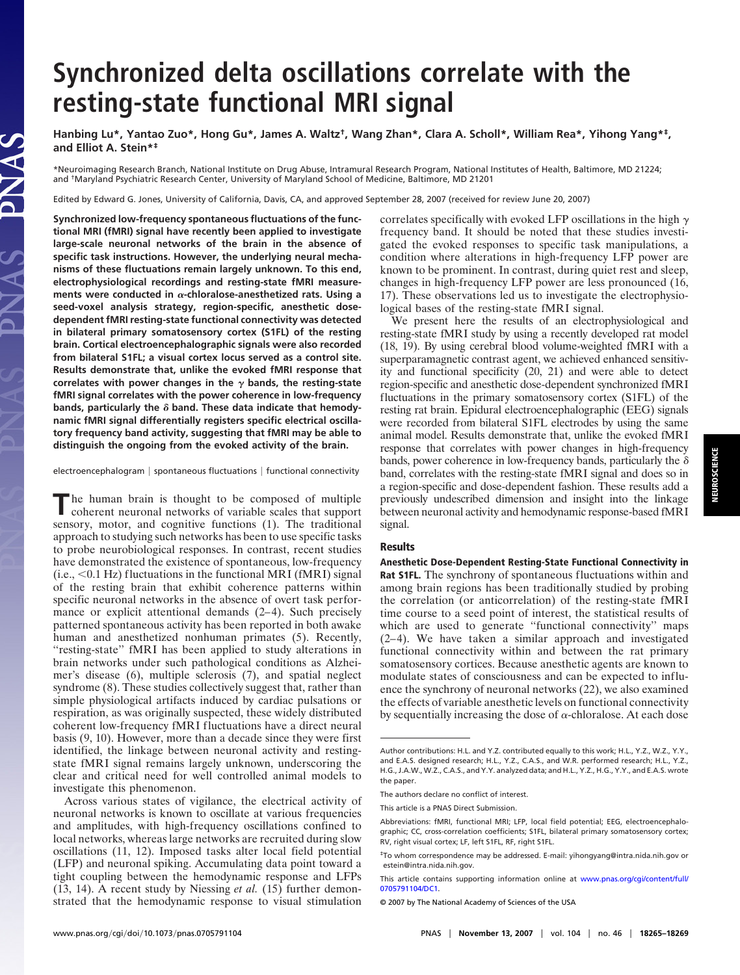## **Synchronized delta oscillations correlate with the resting-state functional MRI signal**

**Hanbing Lu\*, Yantao Zuo\*, Hong Gu\*, James A. Waltz†, Wang Zhan\*, Clara A. Scholl\*, William Rea\*, Yihong Yang\*‡, and Elliot A. Stein\*‡**

\*Neuroimaging Research Branch, National Institute on Drug Abuse, Intramural Research Program, National Institutes of Health, Baltimore, MD 21224; and †Maryland Psychiatric Research Center, University of Maryland School of Medicine, Baltimore, MD 21201

Edited by Edward G. Jones, University of California, Davis, CA, and approved September 28, 2007 (received for review June 20, 2007)

**Synchronized low-frequency spontaneous fluctuations of the functional MRI (fMRI) signal have recently been applied to investigate large-scale neuronal networks of the brain in the absence of specific task instructions. However, the underlying neural mechanisms of these fluctuations remain largely unknown. To this end, electrophysiological recordings and resting-state fMRI measure**ments were conducted in  $\alpha$ -chloralose-anesthetized rats. Using a **seed-voxel analysis strategy, region-specific, anesthetic dosedependent fMRI resting-state functional connectivity was detected in bilateral primary somatosensory cortex (S1FL) of the resting brain. Cortical electroencephalographic signals were also recorded from bilateral S1FL; a visual cortex locus served as a control site. Results demonstrate that, unlike the evoked fMRI response that** correlates with power changes in the  $\gamma$  bands, the resting-state **fMRI signal correlates with the power coherence in low-frequency bands, particularly the band. These data indicate that hemodynamic fMRI signal differentially registers specific electrical oscillatory frequency band activity, suggesting that fMRI may be able to distinguish the ongoing from the evoked activity of the brain.**

JAS

 $e$ lectroencephalogram | spontaneous fluctuations | functional connectivity

The human brain is thought to be composed of multiple coherent neuronal networks of variable scales that support sensory, motor, and cognitive functions (1). The traditional approach to studying such networks has been to use specific tasks to probe neurobiological responses. In contrast, recent studies have demonstrated the existence of spontaneous, low-frequency  $(i.e., < 0.1 Hz)$  fluctuations in the functional MRI (fMRI) signal of the resting brain that exhibit coherence patterns within specific neuronal networks in the absence of overt task performance or explicit attentional demands  $(2-4)$ . Such precisely patterned spontaneous activity has been reported in both awake human and anesthetized nonhuman primates (5). Recently, ''resting-state'' fMRI has been applied to study alterations in brain networks under such pathological conditions as Alzheimer's disease (6), multiple sclerosis (7), and spatial neglect syndrome (8). These studies collectively suggest that, rather than simple physiological artifacts induced by cardiac pulsations or respiration, as was originally suspected, these widely distributed coherent low-frequency fMRI fluctuations have a direct neural basis (9, 10). However, more than a decade since they were first identified, the linkage between neuronal activity and restingstate fMRI signal remains largely unknown, underscoring the clear and critical need for well controlled animal models to investigate this phenomenon.

Across various states of vigilance, the electrical activity of neuronal networks is known to oscillate at various frequencies and amplitudes, with high-frequency oscillations confined to local networks, whereas large networks are recruited during slow oscillations (11, 12). Imposed tasks alter local field potential (LFP) and neuronal spiking. Accumulating data point toward a tight coupling between the hemodynamic response and LFPs (13, 14). A recent study by Niessing *et al.* (15) further demonstrated that the hemodynamic response to visual stimulation

correlates specifically with evoked LFP oscillations in the high  $\gamma$ frequency band. It should be noted that these studies investigated the evoked responses to specific task manipulations, a condition where alterations in high-frequency LFP power are known to be prominent. In contrast, during quiet rest and sleep, changes in high-frequency LFP power are less pronounced (16, 17). These observations led us to investigate the electrophysiological bases of the resting-state fMRI signal.

We present here the results of an electrophysiological and resting-state fMRI study by using a recently developed rat model (18, 19). By using cerebral blood volume-weighted fMRI with a superparamagnetic contrast agent, we achieved enhanced sensitivity and functional specificity (20, 21) and were able to detect region-specific and anesthetic dose-dependent synchronized fMRI fluctuations in the primary somatosensory cortex (S1FL) of the resting rat brain. Epidural electroencephalographic (EEG) signals were recorded from bilateral S1FL electrodes by using the same animal model. Results demonstrate that, unlike the evoked fMRI response that correlates with power changes in high-frequency bands, power coherence in low-frequency bands, particularly the  $\delta$ band, correlates with the resting-state fMRI signal and does so in a region-specific and dose-dependent fashion. These results add a previously undescribed dimension and insight into the linkage between neuronal activity and hemodynamic response-based fMRI signal.

## **Results**

**Anesthetic Dose-Dependent Resting-State Functional Connectivity in Rat S1FL.** The synchrony of spontaneous fluctuations within and among brain regions has been traditionally studied by probing the correlation (or anticorrelation) of the resting-state fMRI time course to a seed point of interest, the statistical results of which are used to generate "functional connectivity" maps (2–4). We have taken a similar approach and investigated functional connectivity within and between the rat primary somatosensory cortices. Because anesthetic agents are known to modulate states of consciousness and can be expected to influence the synchrony of neuronal networks (22), we also examined the effects of variable anesthetic levels on functional connectivity by sequentially increasing the dose of  $\alpha$ -chloralose. At each dose

Author contributions: H.L. and Y.Z. contributed equally to this work; H.L., Y.Z., W.Z., Y.Y., and E.A.S. designed research; H.L., Y.Z., C.A.S., and W.R. performed research; H.L., Y.Z., H.G., J.A.W., W.Z., C.A.S., and Y.Y. analyzed data; and H.L., Y.Z., H.G., Y.Y., and E.A.S. wrote the paper.

The authors declare no conflict of interest.

This article is a PNAS Direct Submission.

Abbreviations: fMRI, functional MRI; LFP, local field potential; EEG, electroencephalographic; CC, cross-correlation coefficients; S1FL, bilateral primary somatosensory cortex; RV, right visual cortex; LF, left S1FL, RF, right S1FL.

<sup>‡</sup>To whom correspondence may be addressed. E-mail: yihongyang@intra.nida.nih.gov or estein@intra.nida.nih.gov.

This article contains supporting information online at [www.pnas.org/cgi/content/full/](http://www.pnas.org/cgi/content/full/0705791104/DC1) [0705791104/DC1.](http://www.pnas.org/cgi/content/full/0705791104/DC1)

<sup>© 2007</sup> by The National Academy of Sciences of the USA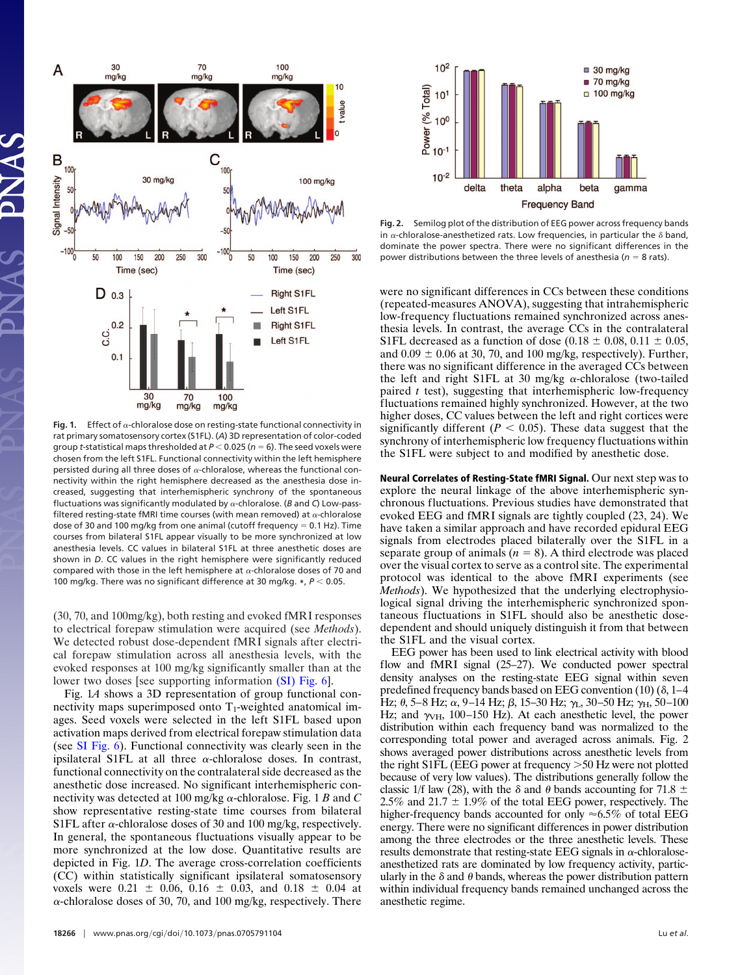

Fig. 1. Effect of  $\alpha$ -chloralose dose on resting-state functional connectivity in rat primary somatosensory cortex (S1FL). (*A*) 3D representation of color-coded group *t*-statistical maps thresholded at *P* 0.025 (*n* 6). The seed voxels were chosen from the left S1FL. Functional connectivity within the left hemisphere persisted during all three doses of  $\alpha$ -chloralose, whereas the functional connectivity within the right hemisphere decreased as the anesthesia dose increased, suggesting that interhemispheric synchrony of the spontaneous fluctuations was significantly modulated by  $\alpha$ -chloralose. ( $B$  and  $C$ ) Low-passfiltered resting-state fMRI time courses (with mean removed) at  $\alpha$ -chloralose dose of 30 and 100 mg/kg from one animal (cutoff frequency  $= 0.1$  Hz). Time courses from bilateral S1FL appear visually to be more synchronized at low anesthesia levels. CC values in bilateral S1FL at three anesthetic doses are shown in *D*. CC values in the right hemisphere were significantly reduced compared with those in the left hemisphere at  $\alpha$ -chloralose doses of 70 and 100 mg/kg. There was no significant difference at 30 mg/kg. \*,  $P < 0.05$ .

(30, 70, and 100mg/kg), both resting and evoked fMRI responses to electrical forepaw stimulation were acquired (see *Methods*). We detected robust dose-dependent fMRI signals after electrical forepaw stimulation across all anesthesia levels, with the evoked responses at 100 mg/kg significantly smaller than at the lower two doses [see supporting information [\(SI\) Fig. 6\]](http://www.pnas.org/cgi/content/full/0705791104/DC1).

Fig. 1*A* shows a 3D representation of group functional connectivity maps superimposed onto  $T_1$ -weighted anatomical images. Seed voxels were selected in the left S1FL based upon activation maps derived from electrical forepaw stimulation data (see [SI Fig. 6\)](http://www.pnas.org/cgi/content/full/0705791104/DC1). Functional connectivity was clearly seen in the ipsilateral S1FL at all three  $\alpha$ -chloralose doses. In contrast, functional connectivity on the contralateral side decreased as the anesthetic dose increased. No significant interhemispheric connectivity was detected at 100 mg/kg  $\alpha$ -chloralose. Fig. 1 *B* and *C* show representative resting-state time courses from bilateral S1FL after  $\alpha$ -chloralose doses of 30 and 100 mg/kg, respectively. In general, the spontaneous fluctuations visually appear to be more synchronized at the low dose. Quantitative results are depicted in Fig. 1*D*. The average cross-correlation coefficients (CC) within statistically significant ipsilateral somatosensory voxels were  $0.21 \pm 0.06$ ,  $0.16 \pm 0.03$ , and  $0.18 \pm 0.04$  at  $\alpha$ -chloralose doses of 30, 70, and 100 mg/kg, respectively. There



**Fig. 2.** Semilog plot of the distribution of EEG power across frequency bands in  $\alpha$ -chloralose-anesthetized rats. Low frequencies, in particular the  $\delta$  band, dominate the power spectra. There were no significant differences in the power distributions between the three levels of anesthesia ( $n = 8$  rats).

were no significant differences in CCs between these conditions (repeated-measures ANOVA), suggesting that intrahemispheric low-frequency fluctuations remained synchronized across anesthesia levels. In contrast, the average CCs in the contralateral S1FL decreased as a function of dose  $(0.18 \pm 0.08, 0.11 \pm 0.05,$ and  $0.09 \pm 0.06$  at 30, 70, and 100 mg/kg, respectively). Further, there was no significant difference in the averaged CCs between the left and right S1FL at 30 mg/kg  $\alpha$ -chloralose (two-tailed paired *t* test), suggesting that interhemispheric low-frequency fluctuations remained highly synchronized. However, at the two higher doses, CC values between the left and right cortices were significantly different ( $P < 0.05$ ). These data suggest that the synchrony of interhemispheric low frequency fluctuations within the S1FL were subject to and modified by anesthetic dose.

**Neural Correlates of Resting-State fMRI Signal.** Our next step was to explore the neural linkage of the above interhemispheric synchronous fluctuations. Previous studies have demonstrated that evoked EEG and fMRI signals are tightly coupled (23, 24). We have taken a similar approach and have recorded epidural EEG signals from electrodes placed bilaterally over the S1FL in a separate group of animals  $(n = 8)$ . A third electrode was placed over the visual cortex to serve as a control site. The experimental protocol was identical to the above fMRI experiments (see *Methods*). We hypothesized that the underlying electrophysiological signal driving the interhemispheric synchronized spontaneous fluctuations in S1FL should also be anesthetic dosedependent and should uniquely distinguish it from that between the S1FL and the visual cortex.

EEG power has been used to link electrical activity with blood flow and fMRI signal (25–27). We conducted power spectral density analyses on the resting-state EEG signal within seven predefined frequency bands based on EEG convention  $(10)$   $(\delta, 1-4)$ Hz;  $\theta$ , 5–8 Hz;  $\alpha$ , 9–14 Hz;  $\beta$ , 15–30 Hz;  $\gamma_L$ , 30–50 Hz;  $\gamma_H$ , 50–100 Hz; and  $\gamma_{\text{VH}}$ , 100–150 Hz). At each anesthetic level, the power distribution within each frequency band was normalized to the corresponding total power and averaged across animals. Fig. 2 shows averaged power distributions across anesthetic levels from the right S1FL (EEG power at frequency > 50 Hz were not plotted because of very low values). The distributions generally follow the classic 1/f law (28), with the  $\delta$  and  $\theta$  bands accounting for 71.8  $\pm$ 2.5% and 21.7  $\pm$  1.9% of the total EEG power, respectively. The higher-frequency bands accounted for only  $\approx 6.5\%$  of total EEG energy. There were no significant differences in power distribution among the three electrodes or the three anesthetic levels. These results demonstrate that resting-state EEG signals in  $\alpha$ -chloraloseanesthetized rats are dominated by low frequency activity, particularly in the  $\delta$  and  $\theta$  bands, whereas the power distribution pattern within individual frequency bands remained unchanged across the anesthetic regime.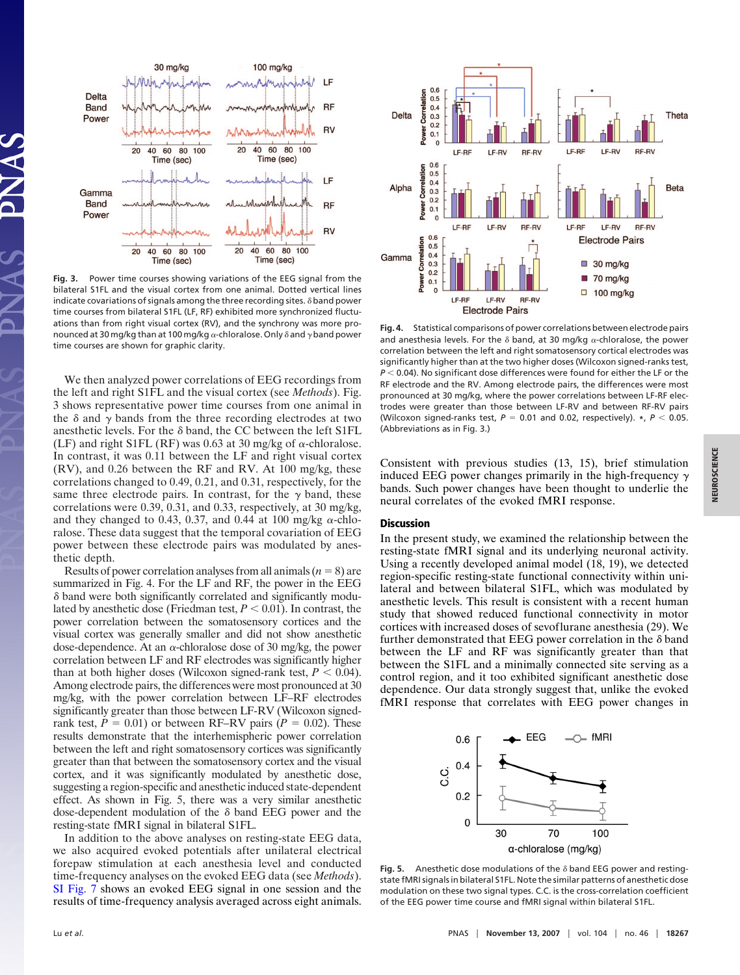

**Fig. 3.** Power time courses showing variations of the EEG signal from the bilateral S1FL and the visual cortex from one animal. Dotted vertical lines indicate covariations of signals among the three recording sites.  $\delta$  band power time courses from bilateral S1FL (LF, RF) exhibited more synchronized fluctuations than from right visual cortex (RV), and the synchrony was more pronounced at 30 mg/kg than at 100 mg/kg  $\alpha$ -chloralose. Only  $\delta$  and  $\gamma$  band power time courses are shown for graphic clarity.

We then analyzed power correlations of EEG recordings from the left and right S1FL and the visual cortex (see *Methods*). Fig. 3 shows representative power time courses from one animal in the  $\delta$  and  $\gamma$  bands from the three recording electrodes at two anesthetic levels. For the  $\delta$  band, the CC between the left S1FL (LF) and right S1FL (RF) was 0.63 at 30 mg/kg of  $\alpha$ -chloralose. In contrast, it was 0.11 between the LF and right visual cortex (RV), and 0.26 between the RF and RV. At 100 mg/kg, these correlations changed to 0.49, 0.21, and 0.31, respectively, for the same three electrode pairs. In contrast, for the  $\gamma$  band, these correlations were 0.39, 0.31, and 0.33, respectively, at 30 mg/kg, and they changed to 0.43, 0.37, and 0.44 at 100 mg/kg  $\alpha$ -chloralose. These data suggest that the temporal covariation of EEG power between these electrode pairs was modulated by anesthetic depth.

Results of power correlation analyses from all animals  $(n = 8)$  are summarized in Fig. 4. For the LF and RF, the power in the EEG - band were both significantly correlated and significantly modulated by anesthetic dose (Friedman test,  $P < 0.01$ ). In contrast, the power correlation between the somatosensory cortices and the visual cortex was generally smaller and did not show anesthetic dose-dependence. At an  $\alpha$ -chloralose dose of 30 mg/kg, the power correlation between LF and RF electrodes was significantly higher than at both higher doses (Wilcoxon signed-rank test,  $P < 0.04$ ). Among electrode pairs, the differences were most pronounced at 30 mg/kg, with the power correlation between LF–RF electrodes significantly greater than those between LF-RV (Wilcoxon signedrank test,  $P = 0.01$ ) or between RF–RV pairs ( $P = 0.02$ ). These results demonstrate that the interhemispheric power correlation between the left and right somatosensory cortices was significantly greater than that between the somatosensory cortex and the visual cortex, and it was significantly modulated by anesthetic dose, suggesting a region-specific and anesthetic induced state-dependent effect. As shown in Fig. 5, there was a very similar anesthetic dose-dependent modulation of the  $\delta$  band EEG power and the resting-state fMRI signal in bilateral S1FL.

In addition to the above analyses on resting-state EEG data, we also acquired evoked potentials after unilateral electrical forepaw stimulation at each anesthesia level and conducted time-frequency analyses on the evoked EEG data (see *Methods*). [SI Fig. 7](http://www.pnas.org/cgi/content/full/0705791104/DC1) shows an evoked EEG signal in one session and the results of time-frequency analysis averaged across eight animals.



**Fig. 4.** Statistical comparisons of power correlations between electrode pairs and anesthesia levels. For the  $\delta$  band, at 30 mg/kg  $\alpha$ -chloralose, the power correlation between the left and right somatosensory cortical electrodes was significantly higher than at the two higher doses (Wilcoxon signed-ranks test, *P* < 0.04). No significant dose differences were found for either the LF or the RF electrode and the RV. Among electrode pairs, the differences were most pronounced at 30 mg/kg, where the power correlations between LF-RF electrodes were greater than those between LF-RV and between RF-RV pairs (Wilcoxon signed-ranks test,  $P = 0.01$  and 0.02, respectively).  $*$ ,  $P < 0.05$ . (Abbreviations as in Fig. 3.)

Consistent with previous studies (13, 15), brief stimulation induced EEG power changes primarily in the high-frequency  $\gamma$ bands. Such power changes have been thought to underlie the neural correlates of the evoked fMRI response.

## **Discussion**

In the present study, we examined the relationship between the resting-state fMRI signal and its underlying neuronal activity. Using a recently developed animal model (18, 19), we detected region-specific resting-state functional connectivity within unilateral and between bilateral S1FL, which was modulated by anesthetic levels. This result is consistent with a recent human study that showed reduced functional connectivity in motor cortices with increased doses of sevoflurane anesthesia (29). We further demonstrated that EEG power correlation in the  $\delta$  band between the LF and RF was significantly greater than that between the S1FL and a minimally connected site serving as a control region, and it too exhibited significant anesthetic dose dependence. Our data strongly suggest that, unlike the evoked fMRI response that correlates with EEG power changes in



**Fig. 5.** Anesthetic dose modulations of the  $\delta$  band EEG power and restingstate fMRI signals in bilateral S1FL. Note the similar patterns of anesthetic dose modulation on these two signal types. C.C. is the cross-correlation coefficient of the EEG power time course and fMRI signal within bilateral S1FL.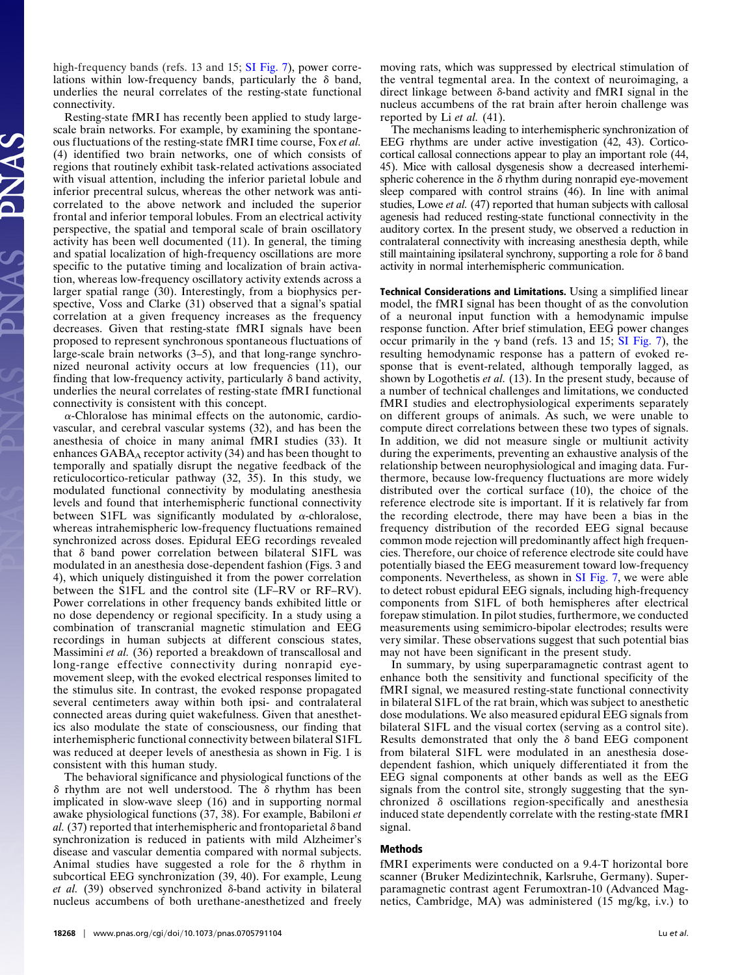high-frequency bands (refs. 13 and 15; [SI Fig. 7\)](http://www.pnas.org/cgi/content/full/0705791104/DC1), power correlations within low-frequency bands, particularly the  $\delta$  band, underlies the neural correlates of the resting-state functional connectivity.

Resting-state fMRI has recently been applied to study largescale brain networks. For example, by examining the spontaneous fluctuations of the resting-state fMRI time course, Fox *et al.* (4) identified two brain networks, one of which consists of regions that routinely exhibit task-related activations associated with visual attention, including the inferior parietal lobule and inferior precentral sulcus, whereas the other network was anticorrelated to the above network and included the superior frontal and inferior temporal lobules. From an electrical activity perspective, the spatial and temporal scale of brain oscillatory activity has been well documented (11). In general, the timing and spatial localization of high-frequency oscillations are more specific to the putative timing and localization of brain activation, whereas low-frequency oscillatory activity extends across a larger spatial range (30). Interestingly, from a biophysics perspective, Voss and Clarke (31) observed that a signal's spatial correlation at a given frequency increases as the frequency decreases. Given that resting-state fMRI signals have been proposed to represent synchronous spontaneous fluctuations of large-scale brain networks (3–5), and that long-range synchronized neuronal activity occurs at low frequencies (11), our finding that low-frequency activity, particularly  $\delta$  band activity, underlies the neural correlates of resting-state fMRI functional connectivity is consistent with this concept.

 $\alpha$ -Chloralose has minimal effects on the autonomic, cardiovascular, and cerebral vascular systems (32), and has been the anesthesia of choice in many animal fMRI studies (33). It enhances  $GABA_A$  receptor activity (34) and has been thought to temporally and spatially disrupt the negative feedback of the reticulocortico-reticular pathway (32, 35). In this study, we modulated functional connectivity by modulating anesthesia levels and found that interhemispheric functional connectivity between S1FL was significantly modulated by  $\alpha$ -chloralose, whereas intrahemispheric low-frequency fluctuations remained synchronized across doses. Epidural EEG recordings revealed that  $\delta$  band power correlation between bilateral S1FL was modulated in an anesthesia dose-dependent fashion (Figs. 3 and 4), which uniquely distinguished it from the power correlation between the S1FL and the control site (LF–RV or RF–RV). Power correlations in other frequency bands exhibited little or no dose dependency or regional specificity. In a study using a combination of transcranial magnetic stimulation and EEG recordings in human subjects at different conscious states, Massimini *et al.* (36) reported a breakdown of transcallosal and long-range effective connectivity during nonrapid eyemovement sleep, with the evoked electrical responses limited to the stimulus site. In contrast, the evoked response propagated several centimeters away within both ipsi- and contralateral connected areas during quiet wakefulness. Given that anesthetics also modulate the state of consciousness, our finding that interhemispheric functional connectivity between bilateral S1FL was reduced at deeper levels of anesthesia as shown in Fig. 1 is consistent with this human study.

The behavioral significance and physiological functions of the  $\delta$  rhythm are not well understood. The  $\delta$  rhythm has been implicated in slow-wave sleep (16) and in supporting normal awake physiological functions (37, 38). For example, Babiloni *et* al.  $(37)$  reported that interhemispheric and frontoparietal  $\delta$  band synchronization is reduced in patients with mild Alzheimer's disease and vascular dementia compared with normal subjects. Animal studies have suggested a role for the  $\delta$  rhythm in subcortical EEG synchronization (39, 40). For example, Leung *et al.* (39) observed synchronized δ-band activity in bilateral nucleus accumbens of both urethane-anesthetized and freely moving rats, which was suppressed by electrical stimulation of the ventral tegmental area. In the context of neuroimaging, a direct linkage between  $\delta$ -band activity and fMRI signal in the nucleus accumbens of the rat brain after heroin challenge was reported by Li *et al.* (41).

The mechanisms leading to interhemispheric synchronization of EEG rhythms are under active investigation (42, 43). Corticocortical callosal connections appear to play an important role (44, 45). Mice with callosal dysgenesis show a decreased interhemispheric coherence in the  $\delta$  rhythm during nonrapid eye-movement sleep compared with control strains (46). In line with animal studies, Lowe *et al.* (47) reported that human subjects with callosal agenesis had reduced resting-state functional connectivity in the auditory cortex. In the present study, we observed a reduction in contralateral connectivity with increasing anesthesia depth, while still maintaining ipsilateral synchrony, supporting a role for  $\delta$  band activity in normal interhemispheric communication.

**Technical Considerations and Limitations.** Using a simplified linear model, the fMRI signal has been thought of as the convolution of a neuronal input function with a hemodynamic impulse response function. After brief stimulation, EEG power changes occur primarily in the  $\gamma$  band (refs. 13 and 15; [SI Fig. 7\)](http://www.pnas.org/cgi/content/full/0705791104/DC1), the resulting hemodynamic response has a pattern of evoked response that is event-related, although temporally lagged, as shown by Logothetis *et al.* (13). In the present study, because of a number of technical challenges and limitations, we conducted fMRI studies and electrophysiological experiments separately on different groups of animals. As such, we were unable to compute direct correlations between these two types of signals. In addition, we did not measure single or multiunit activity during the experiments, preventing an exhaustive analysis of the relationship between neurophysiological and imaging data. Furthermore, because low-frequency fluctuations are more widely distributed over the cortical surface (10), the choice of the reference electrode site is important. If it is relatively far from the recording electrode, there may have been a bias in the frequency distribution of the recorded EEG signal because common mode rejection will predominantly affect high frequencies. Therefore, our choice of reference electrode site could have potentially biased the EEG measurement toward low-frequency components. Nevertheless, as shown in [SI Fig. 7,](http://www.pnas.org/cgi/content/full/0705791104/DC1) we were able to detect robust epidural EEG signals, including high-frequency components from S1FL of both hemispheres after electrical forepaw stimulation. In pilot studies, furthermore, we conducted measurements using semimicro-bipolar electrodes; results were very similar. These observations suggest that such potential bias may not have been significant in the present study.

In summary, by using superparamagnetic contrast agent to enhance both the sensitivity and functional specificity of the fMRI signal, we measured resting-state functional connectivity in bilateral S1FL of the rat brain, which was subject to anesthetic dose modulations. We also measured epidural EEG signals from bilateral S1FL and the visual cortex (serving as a control site). Results demonstrated that only the  $\delta$  band EEG component from bilateral S1FL were modulated in an anesthesia dosedependent fashion, which uniquely differentiated it from the EEG signal components at other bands as well as the EEG signals from the control site, strongly suggesting that the synchronized  $\delta$  oscillations region-specifically and anesthesia induced state dependently correlate with the resting-state fMRI signal.

## **Methods**

fMRI experiments were conducted on a 9.4-T horizontal bore scanner (Bruker Medizintechnik, Karlsruhe, Germany). Superparamagnetic contrast agent Ferumoxtran-10 (Advanced Magnetics, Cambridge, MA) was administered (15 mg/kg, i.v.) to